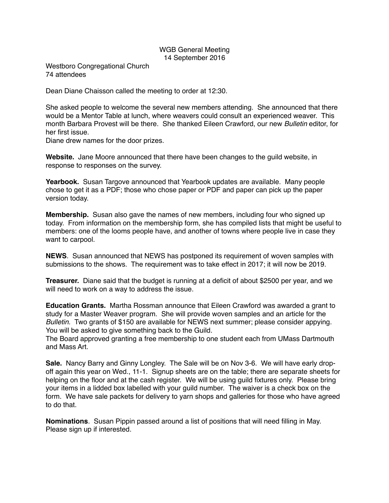## WGB General Meeting 14 September 2016

Westboro Congregational Church 74 attendees

Dean Diane Chaisson called the meeting to order at 12:30.

She asked people to welcome the several new members attending. She announced that there would be a Mentor Table at lunch, where weavers could consult an experienced weaver. This month Barbara Provest will be there. She thanked Eileen Crawford, our new *Bulletin* editor, for her first issue.

Diane drew names for the door prizes.

**Website.** Jane Moore announced that there have been changes to the guild website, in response to responses on the survey.

**Yearbook.** Susan Targove announced that Yearbook updates are available. Many people chose to get it as a PDF; those who chose paper or PDF and paper can pick up the paper version today.

**Membership.** Susan also gave the names of new members, including four who signed up today. From information on the membership form, she has compiled lists that might be useful to members: one of the looms people have, and another of towns where people live in case they want to carpool.

**NEWS**. Susan announced that NEWS has postponed its requirement of woven samples with submissions to the shows. The requirement was to take effect in 2017; it will now be 2019.

**Treasurer.** Diane said that the budget is running at a deficit of about \$2500 per year, and we will need to work on a way to address the issue.

**Education Grants.** Martha Rossman announce that Eileen Crawford was awarded a grant to study for a Master Weaver program. She will provide woven samples and an article for the *Bulletin.* Two grants of \$150 are available for NEWS next summer; please consider appying. You will be asked to give something back to the Guild.

The Board approved granting a free membership to one student each from UMass Dartmouth and Mass Art.

**Sale.** Nancy Barry and Ginny Longley. The Sale will be on Nov 3-6. We will have early dropoff again this year on Wed., 11-1. Signup sheets are on the table; there are separate sheets for helping on the floor and at the cash register. We will be using guild fixtures only. Please bring your items in a lidded box labelled with your guild number. The waiver is a check box on the form. We have sale packets for delivery to yarn shops and galleries for those who have agreed to do that.

**Nominations**. Susan Pippin passed around a list of positions that will need filling in May. Please sign up if interested.